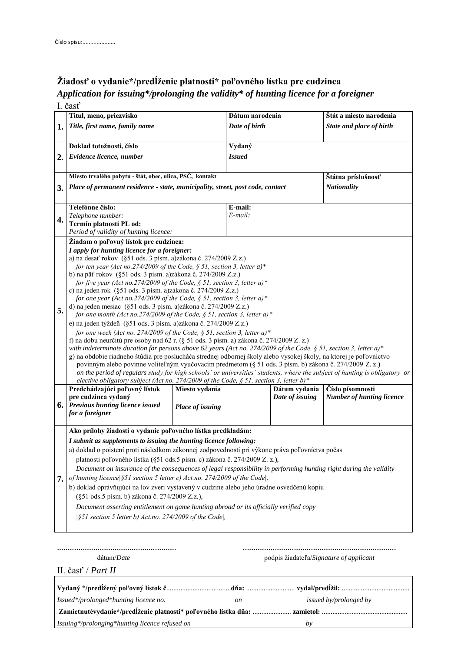## **Žiadosť o vydanie\*/predĺženie platnosti\* poľovného lístka pre cudzinca** *Application for issuing\*/prolonging the validity\* of hunting licence for a foreigner*  $\overline{I} \overline{X}_{\alpha} \overline{A}$

|    | 1. cast                                                                                                                                                                                                                              |                  |                    |                 |                                  |  |
|----|--------------------------------------------------------------------------------------------------------------------------------------------------------------------------------------------------------------------------------------|------------------|--------------------|-----------------|----------------------------------|--|
|    | Titul, meno, priezvisko                                                                                                                                                                                                              |                  | Dátum narodenia    |                 | Štát a miesto narodenia          |  |
| 1. | Title, first name, family name                                                                                                                                                                                                       |                  | Date of birth      |                 | State and place of birth         |  |
|    |                                                                                                                                                                                                                                      |                  |                    |                 |                                  |  |
|    | Doklad totožnosti, číslo                                                                                                                                                                                                             |                  | Vydaný             |                 |                                  |  |
| 2. | <b>Issued</b><br>Evidence licence, number                                                                                                                                                                                            |                  |                    |                 |                                  |  |
|    |                                                                                                                                                                                                                                      |                  |                    |                 |                                  |  |
|    | Miesto trvalého pobytu - štát, obec, ulica, PSČ, kontakt<br>Štátna príslušnosť                                                                                                                                                       |                  |                    |                 |                                  |  |
|    | Place of permanent residence - state, municipality, street, post code, contact                                                                                                                                                       |                  |                    |                 |                                  |  |
| 3. |                                                                                                                                                                                                                                      |                  |                    |                 | <b>Nationality</b>               |  |
|    |                                                                                                                                                                                                                                      |                  |                    |                 |                                  |  |
| 4. | Telefónne číslo:                                                                                                                                                                                                                     |                  | E-mail:<br>E-mail: |                 |                                  |  |
|    | Telephone number:<br>Termín platnosti PL od:                                                                                                                                                                                         |                  |                    |                 |                                  |  |
|    | Period of validity of hunting licence:                                                                                                                                                                                               |                  |                    |                 |                                  |  |
|    | Žiadam o poľovný lístok pre cudzinca:                                                                                                                                                                                                |                  |                    |                 |                                  |  |
|    | I apply for hunting licence for a foreigner:                                                                                                                                                                                         |                  |                    |                 |                                  |  |
|    | a) na desať rokov (§51 ods. 3 písm. a)zákona č. 274/2009 Z.z.)                                                                                                                                                                       |                  |                    |                 |                                  |  |
|    | for ten year (Act no.274/2009 of the Code, $\S$ 51, section 3, letter a)*                                                                                                                                                            |                  |                    |                 |                                  |  |
|    | b) na päť rokov (§51 ods. 3 písm. a)zákona č. 274/2009 Z.z.)                                                                                                                                                                         |                  |                    |                 |                                  |  |
|    | for five year (Act no.274/2009 of the Code, § 51, section 3, letter a)*                                                                                                                                                              |                  |                    |                 |                                  |  |
|    | c) na jeden rok (§51 ods. 3 písm. a)zákona č. 274/2009 Z.z.)                                                                                                                                                                         |                  |                    |                 |                                  |  |
|    | for one year (Act no.274/2009 of the Code, § 51, section 3, letter a)*                                                                                                                                                               |                  |                    |                 |                                  |  |
| 5. | d) na jeden mesiac (§51 ods. 3 písm. a)zákona č. 274/2009 Z.z.)<br>for one month (Act no.274/2009 of the Code, $\S$ 51, section 3, letter a)*                                                                                        |                  |                    |                 |                                  |  |
|    | e) na jeden týždeň (§51 ods. 3 písm. a)zákona č. 274/2009 Z.z.)                                                                                                                                                                      |                  |                    |                 |                                  |  |
|    | for one week (Act no. 274/2009 of the Code, $\S$ 51, section 3, letter a)*                                                                                                                                                           |                  |                    |                 |                                  |  |
|    | f) na dobu neurčitú pre osoby nad 62 r. (§ 51 ods. 3 písm. a) zákona č. 274/2009 Z. z.)                                                                                                                                              |                  |                    |                 |                                  |  |
|    | with indeterminate duration for persons above 62 years (Act no. 274/2009 of the Code, § 51, section 3, letter a)*                                                                                                                    |                  |                    |                 |                                  |  |
|    | g) na obdobie riadneho štúdia pre poslucháča strednej odbornej školy alebo vysokej školy, na ktorej je poľovníctvo                                                                                                                   |                  |                    |                 |                                  |  |
|    | povinným alebo povinne voliteľným vyučovacím predmetom (§ 51 ods. 3 písm. b) zákona č. 274/2009 Z. z.)<br>on the period of regulars study for high schools' or universities' students, where the subject of hunting is obligatory or |                  |                    |                 |                                  |  |
|    | elective obligatory subject (Act no. 274/2009 of the Code, $\S$ 51, section 3, letter b)*                                                                                                                                            |                  |                    |                 |                                  |  |
|    | Predchádzajúci poľovný lístok                                                                                                                                                                                                        | Miesto vydania   |                    | Dátum vydania   | Číslo písomnosti                 |  |
|    | pre cudzinca vydaný                                                                                                                                                                                                                  |                  |                    | Date of issuing | <b>Number of hunting licence</b> |  |
|    | <b>6.</b> Previous hunting licence issued                                                                                                                                                                                            | Place of issuing |                    |                 |                                  |  |
|    | for a foreigner                                                                                                                                                                                                                      |                  |                    |                 |                                  |  |
|    |                                                                                                                                                                                                                                      |                  |                    |                 |                                  |  |
|    | Ako prílohy žiadosti o vydanie poľovného lístka predkladám:                                                                                                                                                                          |                  |                    |                 |                                  |  |
|    | I submit as supplements to issuing the hunting licence following:<br>a) doklad o poistení proti následkom zákonnej zodpovednosti pri výkone práva poľovníctva počas                                                                  |                  |                    |                 |                                  |  |
|    | platnosti poľovného lístka (§51 ods.5 písm. c) zákona č. 274/2009 Z. z.),                                                                                                                                                            |                  |                    |                 |                                  |  |
|    |                                                                                                                                                                                                                                      |                  |                    |                 |                                  |  |
|    | Document on insurance of the consequences of legal responsibility in performing hunting right during the validity                                                                                                                    |                  |                    |                 |                                  |  |
| 7. | of hunting licence § 51 section 5 letter c) Act.no. 274/2009 of the Code,                                                                                                                                                            |                  |                    |                 |                                  |  |
|    | b) doklad oprávňujúci na lov zveri vystavený v cudzine alebo jeho úradne osvedčenú kópiu                                                                                                                                             |                  |                    |                 |                                  |  |
|    | (§51 ods.5 písm. b) zákona č. 274/2009 Z.z.),                                                                                                                                                                                        |                  |                    |                 |                                  |  |
|    | Document asserting entitlement on game hunting abroad or its officially verified copy                                                                                                                                                |                  |                    |                 |                                  |  |
|    | $\frac{551}{151}$ section 5 letter b) Act.no. 274/2009 of the Code,                                                                                                                                                                  |                  |                    |                 |                                  |  |
|    |                                                                                                                                                                                                                                      |                  |                    |                 |                                  |  |
|    |                                                                                                                                                                                                                                      |                  |                    |                 |                                  |  |

........................................................ ........................................................................

II. časť / *Part II*

dátum/*Date* podpis žiadateľa/*Signature of applicant*

**Vydaný \*/predĺžený poľovný lístok č**.................................... **dňa:** ............................ **vydal/predĺžil:** ....................................... *Issued\*/prolonged\*hunting licence no. on issued by/prolonged by* **Zamietnutévydanie\*/predĺženie platnosti\* poľovného lístka dňa:** ...................... **zamietol:** ................................................. *Issuing\*/prolonging\*hunting licence refused on by*